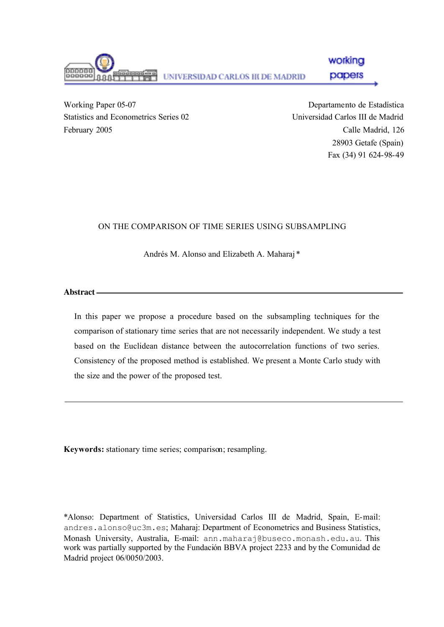

Working Paper 05-07 Statistics and Econometrics Series 02 February 2005

Departamento de Estadística Universidad Carlos III de Madrid Calle Madrid, 126 28903 Getafe (Spain) Fax (34) 91 624-98-49

## ON THE COMPARISON OF TIME SERIES USING SUBSAMPLING

Andrés M. Alonso and Elizabeth A. Maharaj \*

**Abstract**

In this paper we propose a procedure based on the subsampling techniques for the comparison of stationary time series that are not necessarily independent. We study a test based on the Euclidean distance between the autocorrelation functions of two series. Consistency of the proposed method is established. We present a Monte Carlo study with the size and the power of the proposed test.

**Keywords:** stationary time series; comparison; resampling.

\*Alonso: Department of Statistics, Universidad Carlos III de Madrid, Spain, E-mail: andres.alonso@uc3m.es; Maharaj: Department of Econometrics and Business Statistics, Monash University, Australia, E-mail: ann.maharaj@buseco.monash.edu.au. This work was partially supported by the Fundación BBVA project 2233 and by the Comunidad de Madrid project 06/0050/2003.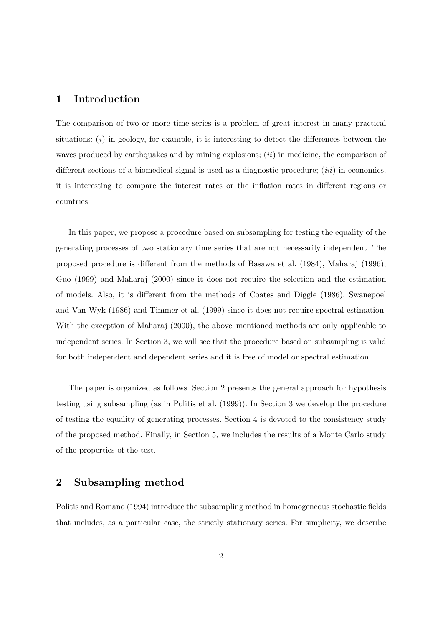#### 1 Introduction

The comparison of two or more time series is a problem of great interest in many practical situations:  $(i)$  in geology, for example, it is interesting to detect the differences between the waves produced by earthquakes and by mining explosions;  $(ii)$  in medicine, the comparison of different sections of a biomedical signal is used as a diagnostic procedure;  $(iii)$  in economics, it is interesting to compare the interest rates or the inflation rates in different regions or countries.

In this paper, we propose a procedure based on subsampling for testing the equality of the generating processes of two stationary time series that are not necessarily independent. The proposed procedure is different from the methods of Basawa et al. (1984), Maharaj (1996), Guo (1999) and Maharaj (2000) since it does not require the selection and the estimation of models. Also, it is different from the methods of Coates and Diggle (1986), Swanepoel and Van Wyk (1986) and Timmer et al. (1999) since it does not require spectral estimation. With the exception of Maharaj (2000), the above–mentioned methods are only applicable to independent series. In Section 3, we will see that the procedure based on subsampling is valid for both independent and dependent series and it is free of model or spectral estimation.

The paper is organized as follows. Section 2 presents the general approach for hypothesis testing using subsampling (as in Politis et al. (1999)). In Section 3 we develop the procedure of testing the equality of generating processes. Section 4 is devoted to the consistency study of the proposed method. Finally, in Section 5, we includes the results of a Monte Carlo study of the properties of the test.

## 2 Subsampling method

Politis and Romano (1994) introduce the subsampling method in homogeneous stochastic fields that includes, as a particular case, the strictly stationary series. For simplicity, we describe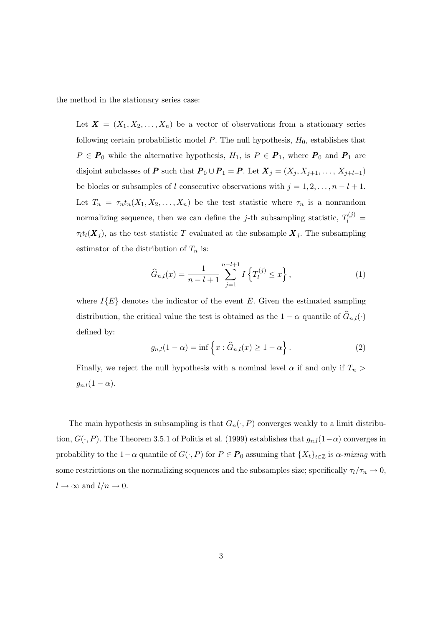the method in the stationary series case:

Let  $\boldsymbol{X} = (X_1, X_2, \ldots, X_n)$  be a vector of observations from a stationary series following certain probabilistic model  $P$ . The null hypothesis,  $H_0$ , establishes that  $P \in \mathbf{P}_0$  while the alternative hypothesis,  $H_1$ , is  $P \in \mathbf{P}_1$ , where  $\mathbf{P}_0$  and  $\mathbf{P}_1$  are disjoint subclasses of P such that  $P_0 \cup P_1 = P$ . Let  $X_j = (X_j, X_{j+1}, \ldots, X_{j+l-1})$ be blocks or subsamples of l consecutive observations with  $j = 1, 2, \ldots, n - l + 1$ . Let  $T_n = \tau_n t_n(X_1, X_2, \ldots, X_n)$  be the test statistic where  $\tau_n$  is a nonrandom normalizing sequence, then we can define the *j*-th subsampling statistic,  $T_l^{(j)}$  =  $\tau_l t_l(\boldsymbol{X}_j)$ , as the test statistic T evaluated at the subsample  $\boldsymbol{X}_j$ . The subsampling estimator of the distribution of  $T_n$  is:

$$
\widehat{G}_{n,l}(x) = \frac{1}{n-l+1} \sum_{j=1}^{n-l+1} I\left\{T_l^{(j)} \le x\right\},\tag{1}
$$

where  $I{E}$  denotes the indicator of the event E. Given the estimated sampling distribution, the critical value the test is obtained as the  $1 - \alpha$  quantile of  $\widehat{G}_{n,l}(\cdot)$ defined by:

$$
g_{n,l}(1-\alpha) = \inf \left\{ x : \widehat{G}_{n,l}(x) \ge 1 - \alpha \right\}.
$$
 (2)

Finally, we reject the null hypothesis with a nominal level  $\alpha$  if and only if  $T_n$  $g_{n,l}(1-\alpha).$ 

The main hypothesis in subsampling is that  $G_n(\cdot, P)$  converges weakly to a limit distribution,  $G(\cdot, P)$ . The Theorem 3.5.1 of Politis et al. (1999) establishes that  $g_{n,l}(1-\alpha)$  converges in probability to the 1- $\alpha$  quantile of  $G(\cdot, P)$  for  $P \in \mathbf{P}_0$  assuming that  $\{X_t\}_{t \in \mathbb{Z}}$  is  $\alpha$ -mixing with some restrictions on the normalizing sequences and the subsamples size; specifically  $\tau_l/\tau_n \to 0$ ,  $l \to \infty$  and  $l/n \to 0$ .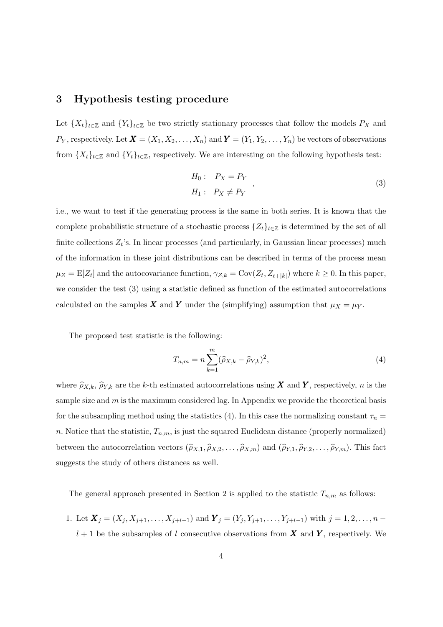#### 3 Hypothesis testing procedure

Let  ${X_t}_{t\in\mathbb{Z}}$  and  ${Y_t}_{t\in\mathbb{Z}}$  be two strictly stationary processes that follow the models  $P_X$  and  $P_Y$ , respectively. Let  $\mathbf{X} = (X_1, X_2, \ldots, X_n)$  and  $\mathbf{Y} = (Y_1, Y_2, \ldots, Y_n)$  be vectors of observations from  $\{X_t\}_{t\in\mathbb{Z}}$  and  $\{Y_t\}_{t\in\mathbb{Z}}$ , respectively. We are interesting on the following hypothesis test:

$$
H_0: P_X = P_Y
$$
  
\n
$$
H_1: P_X \neq P_Y
$$
\n
$$
(3)
$$

i.e., we want to test if the generating process is the same in both series. It is known that the complete probabilistic structure of a stochastic process  $\{Z_t\}_{t\in\mathbb{Z}}$  is determined by the set of all finite collections  $Z_t$ 's. In linear processes (and particularly, in Gaussian linear processes) much of the information in these joint distributions can be described in terms of the process mean  $\mu_Z = \mathbb{E}[Z_t]$  and the autocovariance function,  $\gamma_{Z,k} = \text{Cov}(Z_t, Z_{t+|k|})$  where  $k \geq 0$ . In this paper, we consider the test (3) using a statistic defined as function of the estimated autocorrelations calculated on the samples **X** and **Y** under the (simplifying) assumption that  $\mu_X = \mu_Y$ .

The proposed test statistic is the following:

$$
T_{n,m} = n \sum_{k=1}^{m} (\widehat{\rho}_{X,k} - \widehat{\rho}_{Y,k})^2,
$$
\n(4)

where  $\hat{\rho}_{X,k}, \hat{\rho}_{Y,k}$  are the k-th estimated autocorrelations using X and Y, respectively, n is the sample size and  $m$  is the maximum considered lag. In Appendix we provide the theoretical basis for the subsampling method using the statistics (4). In this case the normalizing constant  $\tau_n =$ n. Notice that the statistic,  $T_{n,m}$ , is just the squared Euclidean distance (properly normalized) between the autocorrelation vectors  $(\hat{\rho}_{X,1}, \hat{\rho}_{X,2}, \dots, \hat{\rho}_{X,m})$  and  $(\hat{\rho}_{Y,1}, \hat{\rho}_{Y,2}, \dots, \hat{\rho}_{Y,m})$ . This fact suggests the study of others distances as well.

The general approach presented in Section 2 is applied to the statistic  $T_{n,m}$  as follows:

1. Let  $\mathbf{X}_j = (X_j, X_{j+1}, \ldots, X_{j+l-1})$  and  $\mathbf{Y}_j = (Y_j, Y_{j+1}, \ldots, Y_{j+l-1})$  with  $j = 1, 2, \ldots, n-1$  $l + 1$  be the subsamples of l consecutive observations from **X** and **Y**, respectively. We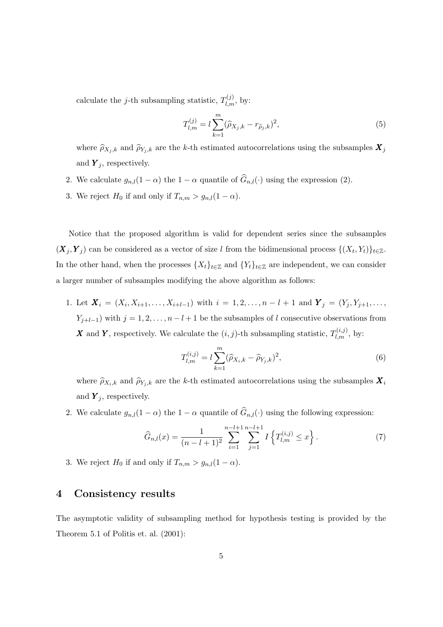calculate the *j*-th subsampling statistic,  $T_{l,m}^{(j)}$ , by:

$$
T_{l,m}^{(j)} = l \sum_{k=1}^{m} (\hat{\rho}_{X_j,k} - r_{\hat{\rho}_j,k})^2,
$$
\n(5)

where  $\hat{\rho}_{X_j,k}$  and  $\hat{\rho}_{Y_j,k}$  are the k-th estimated autocorrelations using the subsamples  $X_j$ and  $Y_j$ , respectively.

- 2. We calculate  $g_{n,l}(1-\alpha)$  the  $1-\alpha$  quantile of  $\hat{G}_{n,l}(\cdot)$  using the expression (2).
- 3. We reject  $H_0$  if and only if  $T_{n,m} > g_{n,l}(1-\alpha)$ .

Notice that the proposed algorithm is valid for dependent series since the subsamples  $(X_j, Y_j)$  can be considered as a vector of size l from the bidimensional process  $\{(X_t, Y_t)\}_{t \in \mathbb{Z}}$ . In the other hand, when the processes  $\{X_t\}_{t\in\mathbb{Z}}$  and  $\{Y_t\}_{t\in\mathbb{Z}}$  are independent, we can consider a larger number of subsamples modifying the above algorithm as follows:

1. Let  $X_i = (X_i, X_{i+1}, \ldots, X_{i+l-1})$  with  $i = 1, 2, \ldots, n-l+1$  and  $Y_j = (Y_j, Y_{j+1}, \ldots, Y_{j+l})$  $Y_{j+l-1}$ ) with  $j = 1, 2, \ldots, n-l+1$  be the subsamples of l consecutive observations from **X** and **Y**, respectively. We calculate the  $(i, j)$ -th subsampling statistic,  $T_{l,m}^{(i,j)}$ , by:

$$
T_{l,m}^{(i,j)} = l \sum_{k=1}^{m} (\widehat{\rho}_{X_i,k} - \widehat{\rho}_{Y_j,k})^2,
$$
\n(6)

where  $\hat{\rho}_{X_i,k}$  and  $\hat{\rho}_{Y_j,k}$  are the k-th estimated autocorrelations using the subsamples  $\mathbf{X}_i$ and  $Y_i$ , respectively.

2. We calculate  $g_{n,l}(1-\alpha)$  the  $1-\alpha$  quantile of  $\widehat{G}_{n,l}(\cdot)$  using the following expression:

$$
\widehat{G}_{n,l}(x) = \frac{1}{(n-l+1)^2} \sum_{i=1}^{n-l+1} \sum_{j=1}^{n-l+1} I\left\{T_{l,m}^{(i,j)} \le x\right\}.
$$
\n(7)

3. We reject  $H_0$  if and only if  $T_{n,m} > g_{n,l}(1-\alpha)$ .

# 4 Consistency results

The asymptotic validity of subsampling method for hypothesis testing is provided by the Theorem 5.1 of Politis et. al. (2001):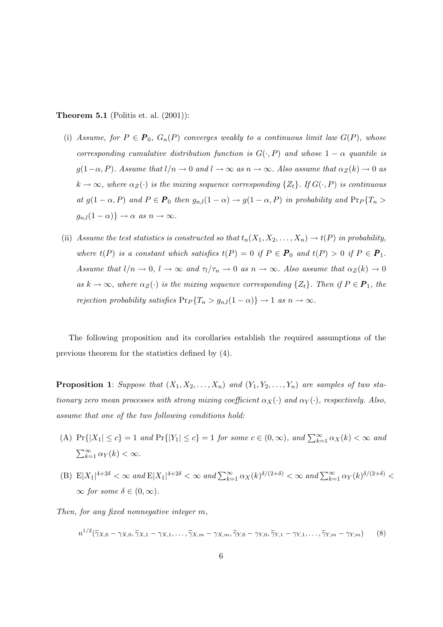#### **Theorem 5.1** (Politis et. al.  $(2001)$ ):

- (i) Assume, for  $P \in \mathbf{P}_0$ ,  $G_n(P)$  converges weakly to a continuous limit law  $G(P)$ , whose corresponding cumulative distribution function is  $G(\cdot, P)$  and whose  $1 - \alpha$  quantile is  $g(1-\alpha, P)$ . Assume that  $l/n \to 0$  and  $l \to \infty$  as  $n \to \infty$ . Also assume that  $\alpha_Z(k) \to 0$  as  $k \to \infty$ , where  $\alpha_Z(\cdot)$  is the mixing sequence corresponding  $\{Z_t\}$ . If  $G(\cdot, P)$  is continuous at  $g(1-\alpha, P)$  and  $P \in \mathbf{P}_0$  then  $g_{n,l}(1-\alpha) \to g(1-\alpha, P)$  in probability and  $\Pr_P\{T_n >$  $g_{n,l}(1-\alpha)$ }  $\rightarrow \alpha$  as  $n \rightarrow \infty$ .
- (ii) Assume the test statistics is constructed so that  $t_n(X_1, X_2, \ldots, X_n) \to t(P)$  in probability, where  $t(P)$  is a constant which satisfies  $t(P) = 0$  if  $P \in P_0$  and  $t(P) > 0$  if  $P \in P_1$ . Assume that  $l/n \to 0$ ,  $l \to \infty$  and  $\tau_l/\tau_n \to 0$  as  $n \to \infty$ . Also assume that  $\alpha_Z(k) \to 0$ as  $k \to \infty$ , where  $\alpha_Z(\cdot)$  is the mixing sequence corresponding  $\{Z_t\}$ . Then if  $P \in \mathbf{P}_1$ , the rejection probability satisfies  $Pr_P\{T_n > g_{n,l}(1-\alpha)\} \to 1$  as  $n \to \infty$ .

The following proposition and its corollaries establish the required assumptions of the previous theorem for the statistics defined by (4).

**Proposition 1:** Suppose that  $(X_1, X_2, \ldots, X_n)$  and  $(Y_1, Y_2, \ldots, Y_n)$  are samples of two stationary zero mean processes with strong mixing coefficient  $\alpha_X(\cdot)$  and  $\alpha_Y(\cdot)$ , respectively. Also, assume that one of the two following conditions hold:

- (A)  $Pr\{|X_1| \le c\} = 1$  and  $Pr\{|Y_1| \le c\} = 1$  for some  $c \in (0, \infty)$ , and  $\sum_{k=1}^{\infty} \alpha_X(k) < \infty$  and  $\sum_{k=1}^{\infty} \alpha_Y(k) < \infty$ .
- (B)  $E|X_1|^{4+2\delta} < \infty$  and  $E|X_1|^{4+2\delta} < \infty$  and  $\sum_{k=1}^{\infty} \alpha_X(k)^{\delta/(2+\delta)} < \infty$  and  $\sum_{k=1}^{\infty} \alpha_Y(k)^{\delta/(2+\delta)} <$  $\infty$  for some  $\delta \in (0,\infty)$ .
- Then, for any fixed nonnegative integer m,

$$
n^{1/2}(\widetilde{\gamma}_{X,0}-\gamma_{X,0},\widetilde{\gamma}_{X,1}-\gamma_{X,1},\ldots,\widetilde{\gamma}_{X,m}-\gamma_{X,m},\widetilde{\gamma}_{Y,0}-\gamma_{Y,0},\widetilde{\gamma}_{Y,1}-\gamma_{Y,1},\ldots,\widetilde{\gamma}_{Y,m}-\gamma_{Y,m})
$$
(8)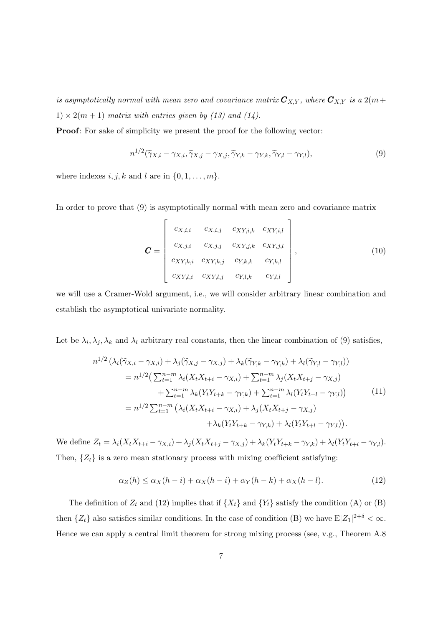is asymptotically normal with mean zero and covariance matrix  $\mathbf{C}_{X,Y}$ , where  $\mathbf{C}_{X,Y}$  is a  $2(m +$  $1) \times 2(m+1)$  matrix with entries given by (13) and (14).

Proof: For sake of simplicity we present the proof for the following vector:

$$
n^{1/2}(\widetilde{\gamma}_{X,i} - \gamma_{X,i}, \widetilde{\gamma}_{X,j} - \gamma_{X,j}, \widetilde{\gamma}_{Y,k} - \gamma_{Y,k}, \widetilde{\gamma}_{Y,l} - \gamma_{Y,l}),
$$
\n(9)

where indexes  $i, j, k$  and l are in  $\{0, 1, \ldots, m\}.$ 

In order to prove that (9) is asymptotically normal with mean zero and covariance matrix

$$
\mathbf{C} = \begin{bmatrix} c_{X,i,i} & c_{X,i,j} & c_{XY,i,k} & c_{XY,i,l} \\ c_{X,j,i} & c_{X,j,j} & c_{XY,j,k} & c_{XY,j,l} \\ c_{XY,k,i} & c_{XY,k,j} & c_{Y,k,k} & c_{Y,k,l} \\ c_{XY,l,i} & c_{XY,l,j} & c_{Y,l,k} & c_{Y,l,l} \end{bmatrix},
$$
(10)

we will use a Cramer-Wold argument, i.e., we will consider arbitrary linear combination and establish the asymptotical univariate normality.

Let be  $\lambda_i, \lambda_j, \lambda_k$  and  $\lambda_l$  arbitrary real constants, then the linear combination of (9) satisfies,

$$
n^{1/2} \left( \lambda_i (\widetilde{\gamma}_{X,i} - \gamma_{X,i}) + \lambda_j (\widetilde{\gamma}_{X,j} - \gamma_{X,j}) + \lambda_k (\widetilde{\gamma}_{Y,k} - \gamma_{Y,k}) + \lambda_l (\widetilde{\gamma}_{Y,l} - \gamma_{Y,l}) \right)
$$
  
\n
$$
= n^{1/2} \left( \sum_{t=1}^{n-m} \lambda_i (X_t X_{t+i} - \gamma_{X,i}) + \sum_{t=1}^{n-m} \lambda_j (X_t X_{t+j} - \gamma_{X,j}) + \sum_{t=1}^{n-m} \lambda_k (Y_t Y_{t+k} - \gamma_{Y,k}) + \sum_{t=1}^{n-m} \lambda_l (Y_t Y_{t+l} - \gamma_{Y,l}) \right)
$$
  
\n
$$
= n^{1/2} \sum_{t=1}^{n-m} \left( \lambda_i (X_t X_{t+i} - \gamma_{X,i}) + \lambda_j (X_t X_{t+j} - \gamma_{X,j}) + \lambda_k (Y_t Y_{t+k} - \gamma_{Y,k}) + \lambda_l (Y_t Y_{t+l} - \gamma_{Y,l}) \right).
$$
 (11)

We define  $Z_t = \lambda_i (X_t X_{t+i} - \gamma_{X,i}) + \lambda_j (X_t X_{t+j} - \gamma_{X,j}) + \lambda_k (Y_t Y_{t+k} - \gamma_{Y,k}) + \lambda_l (Y_t Y_{t+l} - \gamma_{Y,l}).$ Then,  $\{Z_t\}$  is a zero mean stationary process with mixing coefficient satisfying:

$$
\alpha_Z(h) \le \alpha_X(h-i) + \alpha_X(h-i) + \alpha_Y(h-k) + \alpha_X(h-l). \tag{12}
$$

The definition of  $Z_t$  and (12) implies that if  $\{X_t\}$  and  $\{Y_t\}$  satisfy the condition (A) or (B) then  $\{Z_t\}$  also satisfies similar conditions. In the case of condition (B) we have  $E|Z_1|^{2+\delta} < \infty$ . Hence we can apply a central limit theorem for strong mixing process (see, v.g., Theorem A.8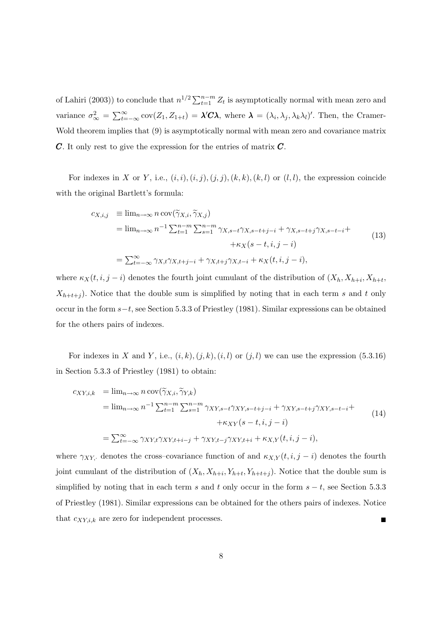of Lahiri (2003)) to conclude that  $n^{1/2} \sum_{t=1}^{n-m} Z_t$  is asymptotically normal with mean zero and variance  $\sigma_{\infty}^2 = \sum_{t=-\infty}^{\infty} cov(Z_1, Z_{1+t}) = \lambda' C \lambda$ , where  $\lambda = (\lambda_i, \lambda_j, \lambda_k \lambda_l)'$ . Then, the Cramer-Wold theorem implies that (9) is asymptotically normal with mean zero and covariance matrix  $\mathcal C$ . It only rest to give the expression for the entries of matrix  $\mathcal C$ .

For indexes in X or Y, i.e.,  $(i, i), (i, j), (j, j), (k, k), (k, l)$  or  $(l, l)$ , the expression coincide with the original Bartlett's formula:

$$
c_{X,i,j} \equiv \lim_{n \to \infty} n \operatorname{cov}(\widetilde{\gamma}_{X,i}, \widetilde{\gamma}_{X,j})
$$
  
\n
$$
= \lim_{n \to \infty} n^{-1} \sum_{t=1}^{n-m} \sum_{s=1}^{n-m} \gamma_{X,s-t} \gamma_{X,s-t+j-i} + \gamma_{X,s-t+j} \gamma_{X,s-t-i} +
$$
  
\n
$$
+ \kappa_X (s-t, i, j-i)
$$
  
\n
$$
= \sum_{t=-\infty}^{\infty} \gamma_{X,t} \gamma_{X,t+j-i} + \gamma_{X,t+j} \gamma_{X,t-i} + \kappa_X (t, i, j-i),
$$
  
\n(13)

where  $\kappa_X(t, i, j - i)$  denotes the fourth joint cumulant of the distribution of  $(X_h, X_{h+i}, X_{h+t},$  $X_{h+t+j}$ ). Notice that the double sum is simplified by noting that in each term s and t only occur in the form s−t, see Section 5.3.3 of Priestley (1981). Similar expressions can be obtained for the others pairs of indexes.

For indexes in X and Y, i.e.,  $(i, k), (j, k), (i, l)$  or  $(j, l)$  we can use the expression  $(5.3.16)$ in Section 5.3.3 of Priestley (1981) to obtain:

$$
c_{XY,i,k} = \lim_{n \to \infty} n \operatorname{cov}(\widetilde{\gamma}_{X,i}, \widetilde{\gamma}_{Y,k})
$$
  
\n
$$
= \lim_{n \to \infty} n^{-1} \sum_{t=1}^{n-m} \sum_{s=1}^{n-m} \gamma_{XY,s-t} \gamma_{XY,s-t+j-i} + \gamma_{XY,s-t+j} \gamma_{XY,s-t-i} +
$$
  
\n
$$
+ \kappa_{XY}(s-t, i, j-i)
$$
  
\n
$$
= \sum_{t=-\infty}^{\infty} \gamma_{XY,t} \gamma_{XY,t+i-j} + \gamma_{XY,t-j} \gamma_{XY,t+i} + \kappa_{X,Y}(t, i, j-i),
$$
\n(14)

where  $\gamma_{XY}$  denotes the cross-covariance function of and  $\kappa_{X,Y}(t, i, j - i)$  denotes the fourth joint cumulant of the distribution of  $(X_h, X_{h+i}, Y_{h+t}, Y_{h+t+j})$ . Notice that the double sum is simplified by noting that in each term s and t only occur in the form  $s - t$ , see Section 5.3.3 of Priestley (1981). Similar expressions can be obtained for the others pairs of indexes. Notice that  $c_{XY,i,k}$  are zero for independent processes.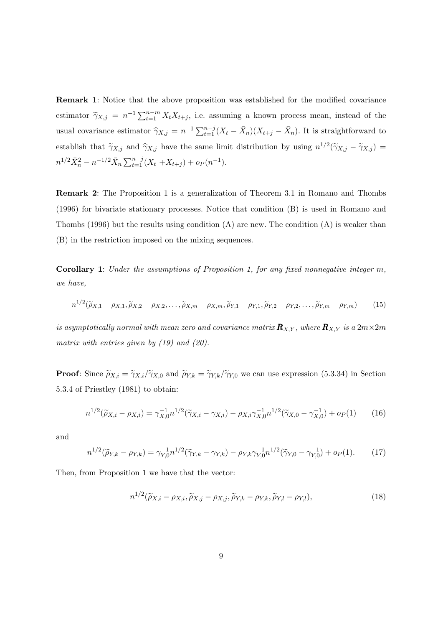Remark 1: Notice that the above proposition was established for the modified covariance estimator  $\tilde{\gamma}_{X,j} = n^{-1} \sum_{t=1}^{n-m} X_t X_{t+j}$ , i.e. assuming a known process mean, instead of the usual covariance estimator  $\hat{\gamma}_{X,j} = n^{-1} \sum_{t=1}^{n-j} (X_t - \bar{X}_n)(X_{t+j} - \bar{X}_n)$ . It is straightforward to establish that  $\tilde{\gamma}_{X,j}$  and  $\hat{\gamma}_{X,j}$  have the same limit distribution by using  $n^{1/2}(\tilde{\gamma}_{X,j} - \tilde{\gamma}_{X,j}) =$  $n^{1/2}\bar{X}_n^2 - n^{-1/2}\bar{X}_n \sum_{t=1}^{n-j} (X_t + X_{t+j}) + o_P(n^{-1}).$ 

Remark 2: The Proposition 1 is a generalization of Theorem 3.1 in Romano and Thombs (1996) for bivariate stationary processes. Notice that condition (B) is used in Romano and Thombs  $(1996)$  but the results using condition  $(A)$  are new. The condition  $(A)$  is weaker than (B) in the restriction imposed on the mixing sequences.

**Corollary 1:** Under the assumptions of Proposition 1, for any fixed nonnegative integer  $m$ , we have,

$$
n^{1/2}(\widetilde{\rho}_{X,1}-\rho_{X,1},\widetilde{\rho}_{X,2}-\rho_{X,2},\ldots,\widetilde{\rho}_{X,m}-\rho_{X,m},\widetilde{\rho}_{Y,1}-\rho_{Y,1},\widetilde{\rho}_{Y,2}-\rho_{Y,2},\ldots,\widetilde{\rho}_{Y,m}-\rho_{Y,m})
$$
(15)

is asymptotically normal with mean zero and covariance matrix  $\mathbf{R}_{X,Y}$ , where  $\mathbf{R}_{X,Y}$  is a  $2m\times 2m$ matrix with entries given by  $(19)$  and  $(20)$ .

**Proof:** Since  $\tilde{\rho}_{X,i} = \tilde{\gamma}_{X,i}/\tilde{\gamma}_{X,0}$  and  $\tilde{\rho}_{Y,k} = \tilde{\gamma}_{Y,k}/\tilde{\gamma}_{Y,0}$  we can use expression (5.3.34) in Section 5.3.4 of Priestley (1981) to obtain:

$$
n^{1/2}(\widetilde{\rho}_{X,i} - \rho_{X,i}) = \gamma_{X,0}^{-1} n^{1/2} (\widetilde{\gamma}_{X,i} - \gamma_{X,i}) - \rho_{X,i} \gamma_{X,0}^{-1} n^{1/2} (\widetilde{\gamma}_{X,0} - \gamma_{X,0}^{-1}) + o_P(1) \tag{16}
$$

and

$$
n^{1/2}(\widetilde{\rho}_{Y,k} - \rho_{Y,k}) = \gamma_{Y,0}^{-1} n^{1/2} (\widetilde{\gamma}_{Y,k} - \gamma_{Y,k}) - \rho_{Y,k} \gamma_{Y,0}^{-1} n^{1/2} (\widetilde{\gamma}_{Y,0} - \gamma_{Y,0}^{-1}) + o_P(1).
$$
 (17)

Then, from Proposition 1 we have that the vector:

$$
n^{1/2}(\widetilde{\rho}_{X,i} - \rho_{X,i}, \widetilde{\rho}_{X,j} - \rho_{X,j}, \widetilde{\rho}_{Y,k} - \rho_{Y,k}, \widetilde{\rho}_{Y,l} - \rho_{Y,l}),
$$
\n(18)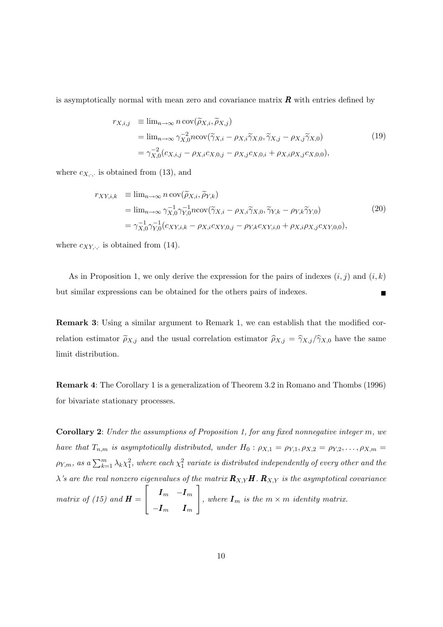is asymptotically normal with mean zero and covariance matrix  $\bm{R}$  with entries defined by

$$
r_{X,i,j} \equiv \lim_{n \to \infty} n \operatorname{cov}(\widetilde{\rho}_{X,i}, \widetilde{\rho}_{X,j})
$$
  
= 
$$
\lim_{n \to \infty} \gamma_{X,0}^{-2} n \operatorname{cov}(\widetilde{\gamma}_{X,i} - \rho_{X,i} \widetilde{\gamma}_{X,0}, \widetilde{\gamma}_{X,j} - \rho_{X,j} \widetilde{\gamma}_{X,0})
$$
  
= 
$$
\gamma_{X,0}^{-2} (c_{X,i,j} - \rho_{X,i} c_{X,0,j} - \rho_{X,j} c_{X,0,i} + \rho_{X,i} \rho_{X,j} c_{X,0,0}),
$$
 (19)

where  $c_{X,\cdot}$ , is obtained from (13), and

$$
r_{XY,i,k} \equiv \lim_{n \to \infty} n \operatorname{cov}(\widetilde{\rho}_{X,i}, \widetilde{\rho}_{Y,k})
$$
  
\n
$$
= \lim_{n \to \infty} \gamma_{X,0}^{-1} \gamma_{Y,0}^{-1} n \operatorname{cov}(\widetilde{\gamma}_{X,i} - \rho_{X,i} \widetilde{\gamma}_{X,0}, \widetilde{\gamma}_{Y,k} - \rho_{Y,k} \widetilde{\gamma}_{Y,0})
$$
  
\n
$$
= \gamma_{X,0}^{-1} \gamma_{Y,0}^{-1} (c_{XY,i,k} - \rho_{X,i} c_{XY,0,j} - \rho_{Y,k} c_{XY,i,0} + \rho_{X,i} \rho_{X,j} c_{XY,0,0}),
$$
\n(20)

where  $c_{XY,\cdot}$  is obtained from (14).

As in Proposition 1, we only derive the expression for the pairs of indexes  $(i, j)$  and  $(i, k)$ but similar expressions can be obtained for the others pairs of indexes.

Remark 3: Using a similar argument to Remark 1, we can establish that the modified correlation estimator  $\tilde{\rho}_{X,j}$  and the usual correlation estimator  $\hat{\rho}_{X,j} = \hat{\gamma}_{X,j}/\hat{\gamma}_{X,0}$  have the same limit distribution.

Remark 4: The Corollary 1 is a generalization of Theorem 3.2 in Romano and Thombs (1996) for bivariate stationary processes.

Corollary 2: Under the assumptions of Proposition 1, for any fixed nonnegative integer m, we have that  $T_{n,m}$  is asymptotically distributed, under  $H_0: \rho_{X,1} = \rho_{Y,1}, \rho_{X,2} = \rho_{Y,2}, \ldots, \rho_{X,m} =$  $\rho_{Y,m},$  as a  $\sum_{k=1}^m \lambda_k \chi_1^2,$  where each  $\chi_1^2$  variate is distributed independently of every other and the  $\lambda$ 's are the real nonzero eigenvalues of the matrix  $\mathbf{R}_{X,Y}H$ .  $\mathbf{R}_{X,Y}$  is the asymptotical covariance matrix of (15) and  $\boldsymbol{H} =$  $\sqrt{ }$  $\overline{\phantom{a}}$  $\bm{I}_{m}$   $-\bm{I}_{m}$  $-\boldsymbol{I}_m$   $\boldsymbol{I}_m$ 1 , where  $I_m$  is the  $m \times m$  identity matrix.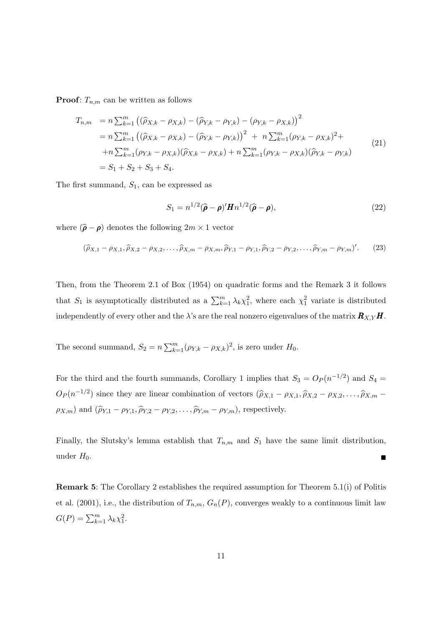**Proof:**  $T_{n,m}$  can be written as follows

$$
T_{n,m} = n \sum_{k=1}^{m} ((\hat{\rho}_{X,k} - \rho_{X,k}) - (\hat{\rho}_{Y,k} - \rho_{Y,k}) - (\rho_{Y,k} - \rho_{X,k}))^{2}
$$
  
\n
$$
= n \sum_{k=1}^{m} ((\hat{\rho}_{X,k} - \rho_{X,k}) - (\hat{\rho}_{Y,k} - \rho_{Y,k}))^{2} + n \sum_{k=1}^{m} (\rho_{Y,k} - \rho_{X,k})^{2} + n \sum_{k=1}^{m} (\rho_{Y,k} - \rho_{X,k}) (\hat{\rho}_{X,k} - \rho_{X,k}) + n \sum_{k=1}^{m} (\rho_{Y,k} - \rho_{X,k}) (\hat{\rho}_{Y,k} - \rho_{Y,k})
$$
  
\n
$$
= S_{1} + S_{2} + S_{3} + S_{4}.
$$
\n(21)

The first summand,  $S_1$ , can be expressed as

$$
S_1 = n^{1/2} (\widehat{\boldsymbol{\rho}} - \boldsymbol{\rho})' \boldsymbol{H} n^{1/2} (\widehat{\boldsymbol{\rho}} - \boldsymbol{\rho}), \qquad (22)
$$

where  $(\hat{\boldsymbol{\rho}} - \boldsymbol{\rho})$  denotes the following  $2m \times 1$  vector

$$
(\hat{\rho}_{X,1} - \rho_{X,1}, \hat{\rho}_{X,2} - \rho_{X,2}, \dots, \hat{\rho}_{X,m} - \rho_{X,m}, \hat{\rho}_{Y,1} - \rho_{Y,1}, \hat{\rho}_{Y,2} - \rho_{Y,2}, \dots, \hat{\rho}_{Y,m} - \rho_{Y,m})'.
$$
 (23)

Then, from the Theorem 2.1 of Box (1954) on quadratic forms and the Remark 3 it follows that  $S_1$  is asymptotically distributed as a  $\sum_{k=1}^m \lambda_k \chi_1^2$ , where each  $\chi_1^2$  variate is distributed independently of every other and the  $\lambda$ 's are the real nonzero eigenvalues of the matrix  $\mathbf{R}_{X,Y}$  H.

The second summand,  $S_2 = n \sum_{k=1}^{m} (\rho_{Y,k} - \rho_{X,k})^2$ , is zero under  $H_0$ .

For the third and the fourth summands, Corollary 1 implies that  $S_3 = O_P(n^{-1/2})$  and  $S_4 =$  $O_P(n^{-1/2})$  since they are linear combination of vectors  $(\hat{\rho}_{X,1} - \rho_{X,1}, \hat{\rho}_{X,2} - \rho_{X,2}, \dots, \hat{\rho}_{X,m} \rho_{X,m}$ ) and  $(\hat{\rho}_{Y,1} - \rho_{Y,1}, \hat{\rho}_{Y,2} - \rho_{Y,2}, \dots, \hat{\rho}_{Y,m} - \rho_{Y,m})$ , respectively.

Finally, the Slutsky's lemma establish that  $T_{n,m}$  and  $S_1$  have the same limit distribution, under  $H_0$ .

Remark 5: The Corollary 2 establishes the required assumption for Theorem 5.1(i) of Politis et al. (2001), i.e., the distribution of  $T_{n,m}$ ,  $G_n(P)$ , converges weakly to a continuous limit law  $G(P) = \sum_{k=1}^{m} \lambda_k \chi_1^2.$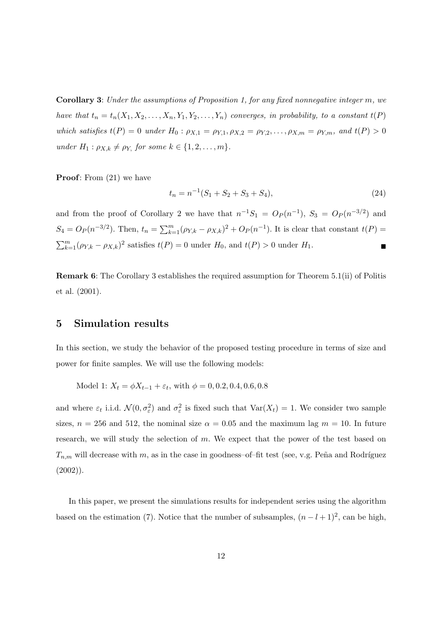Corollary 3: Under the assumptions of Proposition 1, for any fixed nonnegative integer m, we have that  $t_n = t_n(X_1, X_2, \ldots, X_n, Y_1, Y_2, \ldots, Y_n)$  converges, in probability, to a constant  $t(P)$ which satisfies  $t(P) = 0$  under  $H_0: \rho_{X,1} = \rho_{Y,1}, \rho_{X,2} = \rho_{Y,2}, \ldots, \rho_{X,m} = \rho_{Y,m}$ , and  $t(P) > 0$ under  $H_1: \rho_{X,k} \neq \rho_Y$ , for some  $k \in \{1, 2, \ldots, m\}.$ 

**Proof:** From  $(21)$  we have

$$
t_n = n^{-1}(S_1 + S_2 + S_3 + S_4),
$$
\n(24)

and from the proof of Corollary 2 we have that  $n^{-1}S_1 = O_P(n^{-1}), S_3 = O_P(n^{-3/2})$  and  $S_4 = O_P(n^{-3/2})$ . Then,  $t_n = \sum_{k=1}^m (\rho_{Y,k} - \rho_{X,k})^2 + O_P(n^{-1})$ . It is clear that constant  $t(P)$  $\sum_{k=1}^{m} (\rho_{Y,k} - \rho_{X,k})^2$  satisfies  $t(P) = 0$  under  $H_0$ , and  $t(P) > 0$  under  $H_1$ .

Remark 6: The Corollary 3 establishes the required assumption for Theorem 5.1(ii) of Politis et al. (2001).

### 5 Simulation results

In this section, we study the behavior of the proposed testing procedure in terms of size and power for finite samples. We will use the following models:

Model 1:  $X_t = \phi X_{t-1} + \varepsilon_t$ , with  $\phi = 0, 0.2, 0.4, 0.6, 0.8$ 

and where  $\varepsilon_t$  i.i.d.  $\mathcal{N}(0, \sigma_{\varepsilon}^2)$  and  $\sigma_{\varepsilon}^2$  is fixed such that  $\text{Var}(X_t) = 1$ . We consider two sample sizes,  $n = 256$  and 512, the nominal size  $\alpha = 0.05$  and the maximum lag  $m = 10$ . In future research, we will study the selection of  $m$ . We expect that the power of the test based on  $T_{n,m}$  will decrease with m, as in the case in goodness–of–fit test (see, v.g. Peña and Rodríguez  $(2002)$ ).

In this paper, we present the simulations results for independent series using the algorithm based on the estimation (7). Notice that the number of subsamples,  $(n-l+1)^2$ , can be high,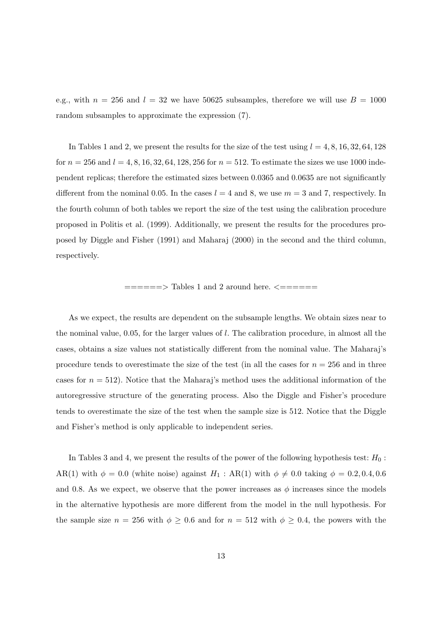e.g., with  $n = 256$  and  $l = 32$  we have 50625 subsamples, therefore we will use  $B = 1000$ random subsamples to approximate the expression (7).

In Tables 1 and 2, we present the results for the size of the test using  $l = 4, 8, 16, 32, 64, 128$ for  $n = 256$  and  $l = 4, 8, 16, 32, 64, 128, 256$  for  $n = 512$ . To estimate the sizes we use 1000 independent replicas; therefore the estimated sizes between 0.0365 and 0.0635 are not significantly different from the nominal 0.05. In the cases  $l = 4$  and 8, we use  $m = 3$  and 7, respectively. In the fourth column of both tables we report the size of the test using the calibration procedure proposed in Politis et al. (1999). Additionally, we present the results for the procedures proposed by Diggle and Fisher (1991) and Maharaj (2000) in the second and the third column, respectively.

 $\equiv$  =====> Tables 1 and 2 around here.  $\le$  =======

As we expect, the results are dependent on the subsample lengths. We obtain sizes near to the nominal value,  $0.05$ , for the larger values of l. The calibration procedure, in almost all the cases, obtains a size values not statistically different from the nominal value. The Maharaj's procedure tends to overestimate the size of the test (in all the cases for  $n = 256$  and in three cases for  $n = 512$ ). Notice that the Maharaj's method uses the additional information of the autoregressive structure of the generating process. Also the Diggle and Fisher's procedure tends to overestimate the size of the test when the sample size is 512. Notice that the Diggle and Fisher's method is only applicable to independent series.

In Tables 3 and 4, we present the results of the power of the following hypothesis test:  $H_0$ : AR(1) with  $\phi = 0.0$  (white noise) against  $H_1$ : AR(1) with  $\phi \neq 0.0$  taking  $\phi = 0.2, 0.4, 0.6$ and 0.8. As we expect, we observe that the power increases as  $\phi$  increases since the models in the alternative hypothesis are more different from the model in the null hypothesis. For the sample size  $n = 256$  with  $\phi \geq 0.6$  and for  $n = 512$  with  $\phi \geq 0.4$ , the powers with the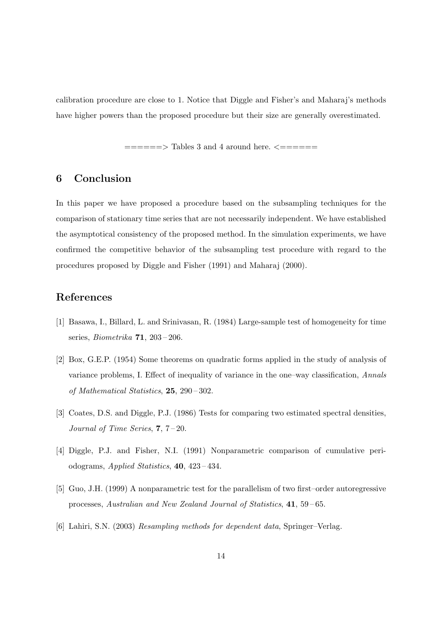calibration procedure are close to 1. Notice that Diggle and Fisher's and Maharaj's methods have higher powers than the proposed procedure but their size are generally overestimated.

======> Tables 3 and 4 around here. <======

## 6 Conclusion

In this paper we have proposed a procedure based on the subsampling techniques for the comparison of stationary time series that are not necessarily independent. We have established the asymptotical consistency of the proposed method. In the simulation experiments, we have confirmed the competitive behavior of the subsampling test procedure with regard to the procedures proposed by Diggle and Fisher (1991) and Maharaj (2000).

# References

- [1] Basawa, I., Billard, L. and Srinivasan, R. (1984) Large-sample test of homogeneity for time series, Biometrika 71, 203 – 206.
- [2] Box, G.E.P. (1954) Some theorems on quadratic forms applied in the study of analysis of variance problems, I. Effect of inequality of variance in the one–way classification, Annals of Mathematical Statistics, 25, 290 – 302.
- [3] Coates, D.S. and Diggle, P.J. (1986) Tests for comparing two estimated spectral densities, Journal of Time Series, 7, 7 – 20.
- [4] Diggle, P.J. and Fisher, N.I. (1991) Nonparametric comparison of cumulative periodograms, Applied Statistics, 40, 423 – 434.
- [5] Guo, J.H. (1999) A nonparametric test for the parallelism of two first–order autoregressive processes, Australian and New Zealand Journal of Statistics, 41, 59 – 65.
- [6] Lahiri, S.N. (2003) Resampling methods for dependent data, Springer–Verlag.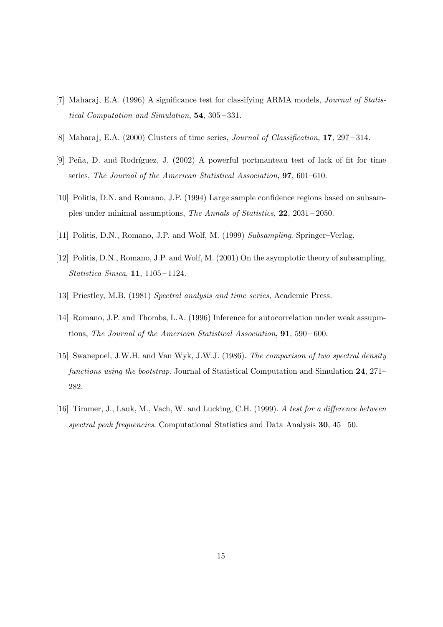- [7] Maharaj, E.A. (1996) A significance test for classifying ARMA models, Journal of Statistical Computation and Simulation, 54, 305 – 331.
- [8] Maharaj, E.A. (2000) Clusters of time series, Journal of Classification, 17, 297 314.
- [9] Peña, D. and Rodríguez, J. (2002) A powerful portmanteau test of lack of fit for time series, The Journal of the American Statistical Association, 97, 601–610.
- [10] Politis, D.N. and Romano, J.P. (1994) Large sample confidence regions based on subsamples under minimal assumptions, The Annals of Statistics, 22, 2031 – 2050.
- [11] Politis, D.N., Romano, J.P. and Wolf, M. (1999) Subsampling. Springer–Verlag.
- [12] Politis, D.N., Romano, J.P. and Wolf, M. (2001) On the asymptotic theory of subsampling, Statistica Sinica, 11, 1105 – 1124.
- [13] Priestley, M.B. (1981) Spectral analysis and time series, Academic Press.
- [14] Romano, J.P. and Thombs, L.A. (1996) Inference for autocorrelation under weak assupmtions, The Journal of the American Statistical Association, 91, 590 – 600.
- [15] Swanepoel, J.W.H. and Van Wyk, J.W.J. (1986). The comparison of two spectral density functions using the bootstrap. Journal of Statistical Computation and Simulation 24, 271– 282.
- [16] Timmer, J., Lauk, M., Vach, W. and Lucking, C.H. (1999). A test for a difference between spectral peak frequencies. Computational Statistics and Data Analysis 30, 45-50.